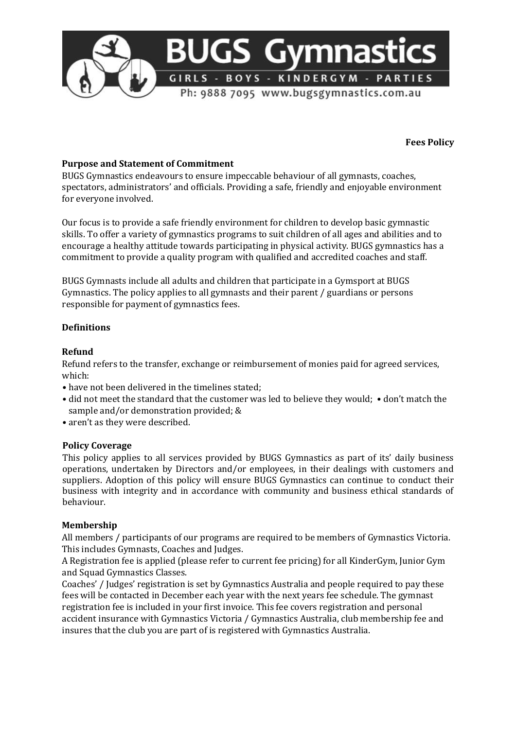

**Fees Policy** 

# **Purpose and Statement of Commitment**

BUGS Gymnastics endeavours to ensure impeccable behaviour of all gymnasts, coaches, spectators, administrators' and officials. Providing a safe, friendly and enjoyable environment for everyone involved.

Our focus is to provide a safe friendly environment for children to develop basic gymnastic skills. To offer a variety of gymnastics programs to suit children of all ages and abilities and to encourage a healthy attitude towards participating in physical activity. BUGS gymnastics has a commitment to provide a quality program with qualified and accredited coaches and staff.

BUGS Gymnasts include all adults and children that participate in a Gymsport at BUGS Gymnastics. The policy applies to all gymnasts and their parent / guardians or persons responsible for payment of gymnastics fees.

# **Definitions**

## **Refund**

Refund refers to the transfer, exchange or reimbursement of monies paid for agreed services, which:

- have not been delivered in the timelines stated;
- did not meet the standard that the customer was led to believe they would; don't match the sample and/or demonstration provided; &
- aren't as they were described.

## **Policy Coverage**

This policy applies to all services provided by BUGS Gymnastics as part of its' daily business operations, undertaken by Directors and/or employees, in their dealings with customers and suppliers. Adoption of this policy will ensure BUGS Gymnastics can continue to conduct their business with integrity and in accordance with community and business ethical standards of behaviour.

## **Membership**

All members / participants of our programs are required to be members of Gymnastics Victoria. This includes Gymnasts, Coaches and Judges.

A Registration fee is applied (please refer to current fee pricing) for all KinderGym, Junior Gym and Squad Gymnastics Classes.

Coaches' / Judges' registration is set by Gymnastics Australia and people required to pay these fees will be contacted in December each year with the next years fee schedule. The gymnast registration fee is included in your first invoice. This fee covers registration and personal accident insurance with Gymnastics Victoria / Gymnastics Australia, club membership fee and insures that the club you are part of is registered with Gymnastics Australia.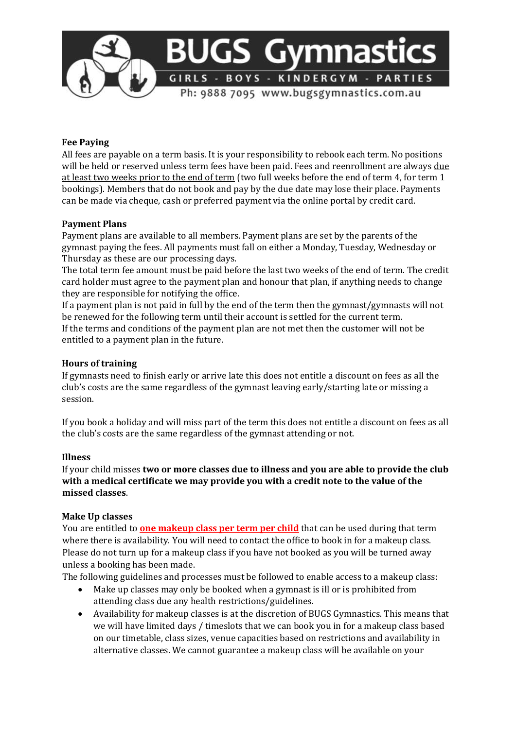

## **Fee Paying**

All fees are payable on a term basis. It is your responsibility to rebook each term. No positions will be held or reserved unless term fees have been paid. Fees and reenrollment are always due at least two weeks prior to the end of term (two full weeks before the end of term 4, for term 1 bookings). Members that do not book and pay by the due date may lose their place. Payments can be made via cheque, cash or preferred payment via the online portal by credit card.

#### **Payment Plans**

Payment plans are available to all members. Payment plans are set by the parents of the gymnast paying the fees. All payments must fall on either a Monday, Tuesday, Wednesday or Thursday as these are our processing days.

The total term fee amount must be paid before the last two weeks of the end of term. The credit card holder must agree to the payment plan and honour that plan, if anything needs to change they are responsible for notifying the office.

If a payment plan is not paid in full by the end of the term then the gymnast/gymnasts will not be renewed for the following term until their account is settled for the current term. If the terms and conditions of the payment plan are not met then the customer will not be entitled to a payment plan in the future.

#### **Hours of training**

If gymnasts need to finish early or arrive late this does not entitle a discount on fees as all the club's costs are the same regardless of the gymnast leaving early/starting late or missing a session.

If you book a holiday and will miss part of the term this does not entitle a discount on fees as all the club's costs are the same regardless of the gymnast attending or not.

#### **Illness**

If your child misses **two or more classes due to illness and you are able to provide the club with a medical certificate we may provide you with a credit note to the value of the missed classes**.

#### **Make Up classes**

You are entitled to **one makeup class per term per child** that can be used during that term where there is availability. You will need to contact the office to book in for a makeup class. Please do not turn up for a makeup class if you have not booked as you will be turned away unless a booking has been made.

The following guidelines and processes must be followed to enable access to a makeup class:

- Make up classes may only be booked when a gymnast is ill or is prohibited from attending class due any health restrictions/guidelines.
- Availability for makeup classes is at the discretion of BUGS Gymnastics. This means that we will have limited days / timeslots that we can book you in for a makeup class based on our timetable, class sizes, venue capacities based on restrictions and availability in alternative classes. We cannot guarantee a makeup class will be available on your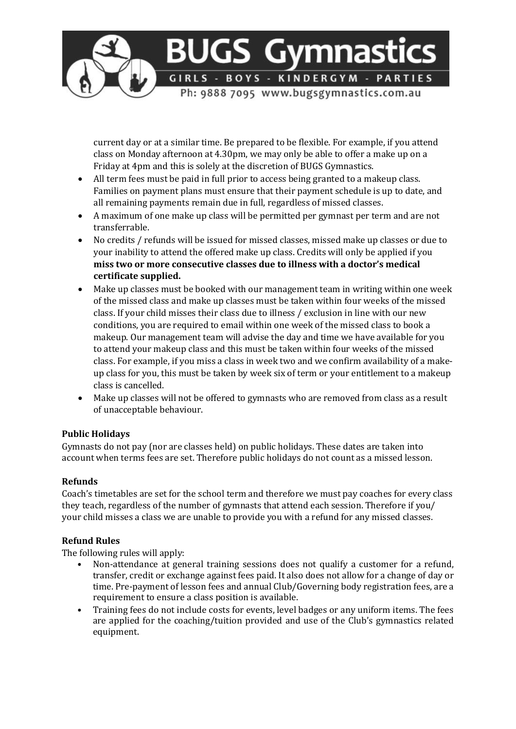

current day or at a similar time. Be prepared to be flexible. For example, if you attend class on Monday afternoon at 4.30pm, we may only be able to offer a make up on a Friday at 4pm and this is solely at the discretion of BUGS Gymnastics.

- All term fees must be paid in full prior to access being granted to a makeup class. Families on payment plans must ensure that their payment schedule is up to date, and all remaining payments remain due in full, regardless of missed classes.
- A maximum of one make up class will be permitted per gymnast per term and are not transferrable.
- No credits / refunds will be issued for missed classes, missed make up classes or due to your inability to attend the offered make up class. Credits will only be applied if you **miss two or more consecutive classes due to illness with a doctor's medical certificate supplied.**
- Make up classes must be booked with our management team in writing within one week of the missed class and make up classes must be taken within four weeks of the missed class. If your child misses their class due to illness / exclusion in line with our new conditions, you are required to email within one week of the missed class to book a makeup. Our management team will advise the day and time we have available for you to attend your makeup class and this must be taken within four weeks of the missed class. For example, if you miss a class in week two and we confirm availability of a makeup class for you, this must be taken by week six of term or your entitlement to a makeup class is cancelled.
- Make up classes will not be offered to gymnasts who are removed from class as a result of unacceptable behaviour.

# **Public Holidays**

Gymnasts do not pay (nor are classes held) on public holidays. These dates are taken into account when terms fees are set. Therefore public holidays do not count as a missed lesson.

# **Refunds**

Coach's timetables are set for the school term and therefore we must pay coaches for every class they teach, regardless of the number of gymnasts that attend each session. Therefore if you/ your child misses a class we are unable to provide you with a refund for any missed classes.

# **Refund Rules**

The following rules will apply:

- Non-attendance at general training sessions does not qualify a customer for a refund, transfer, credit or exchange against fees paid. It also does not allow for a change of day or time. Pre-payment of lesson fees and annual Club/Governing body registration fees, are a requirement to ensure a class position is available.
- Training fees do not include costs for events, level badges or any uniform items. The fees are applied for the coaching/tuition provided and use of the Club's gymnastics related equipment.